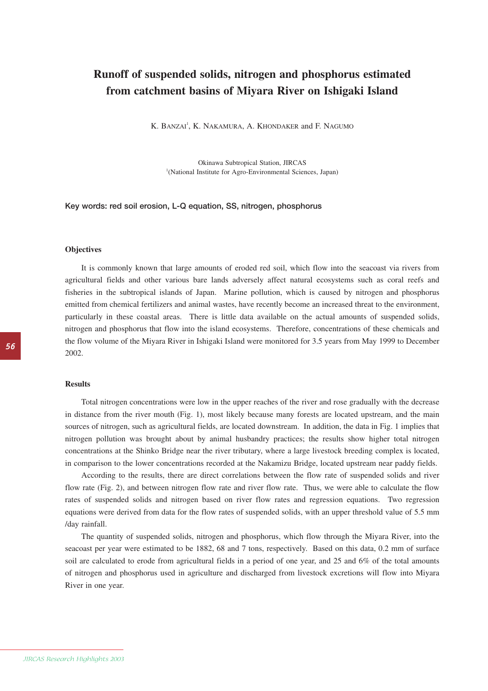# **Runoff of suspended solids, nitrogen and phosphorus estimated from catchment basins of Miyara River on Ishigaki Island**

K. BANZAI<sup>1</sup>, K. NAKAMURA, A. KHONDAKER and F. NAGUMO

Okinawa Subtropical Station, JIRCAS <sup>1</sup>(National Institute for Agro-Environmental Sciences, Japan)

### **Key words: red soil erosion, L-Q equation, SS, nitrogen, phosphorus**

#### **Objectives**

It is commonly known that large amounts of eroded red soil, which flow into the seacoast via rivers from agricultural fields and other various bare lands adversely affect natural ecosystems such as coral reefs and fisheries in the subtropical islands of Japan. Marine pollution, which is caused by nitrogen and phosphorus emitted from chemical fertilizers and animal wastes, have recently become an increased threat to the environment, particularly in these coastal areas. There is little data available on the actual amounts of suspended solids, nitrogen and phosphorus that flow into the island ecosystems. Therefore, concentrations of these chemicals and the flow volume of the Miyara River in Ishigaki Island were monitored for 3.5 years from May 1999 to December 2002.

#### **Results**

Total nitrogen concentrations were low in the upper reaches of the river and rose gradually with the decrease in distance from the river mouth (Fig. 1), most likely because many forests are located upstream, and the main sources of nitrogen, such as agricultural fields, are located downstream. In addition, the data in Fig. 1 implies that nitrogen pollution was brought about by animal husbandry practices; the results show higher total nitrogen concentrations at the Shinko Bridge near the river tributary, where a large livestock breeding complex is located, in comparison to the lower concentrations recorded at the Nakamizu Bridge, located upstream near paddy fields.

According to the results, there are direct correlations between the flow rate of suspended solids and river flow rate (Fig. 2), and between nitrogen flow rate and river flow rate. Thus, we were able to calculate the flow rates of suspended solids and nitrogen based on river flow rates and regression equations. Two regression equations were derived from data for the flow rates of suspended solids, with an upper threshold value of 5.5 mm /day rainfall.

The quantity of suspended solids, nitrogen and phosphorus, which flow through the Miyara River, into the seacoast per year were estimated to be 1882, 68 and 7 tons, respectively. Based on this data, 0.2 mm of surface soil are calculated to erode from agricultural fields in a period of one year, and 25 and 6% of the total amounts of nitrogen and phosphorus used in agriculture and discharged from livestock excretions will flow into Miyara River in one year.